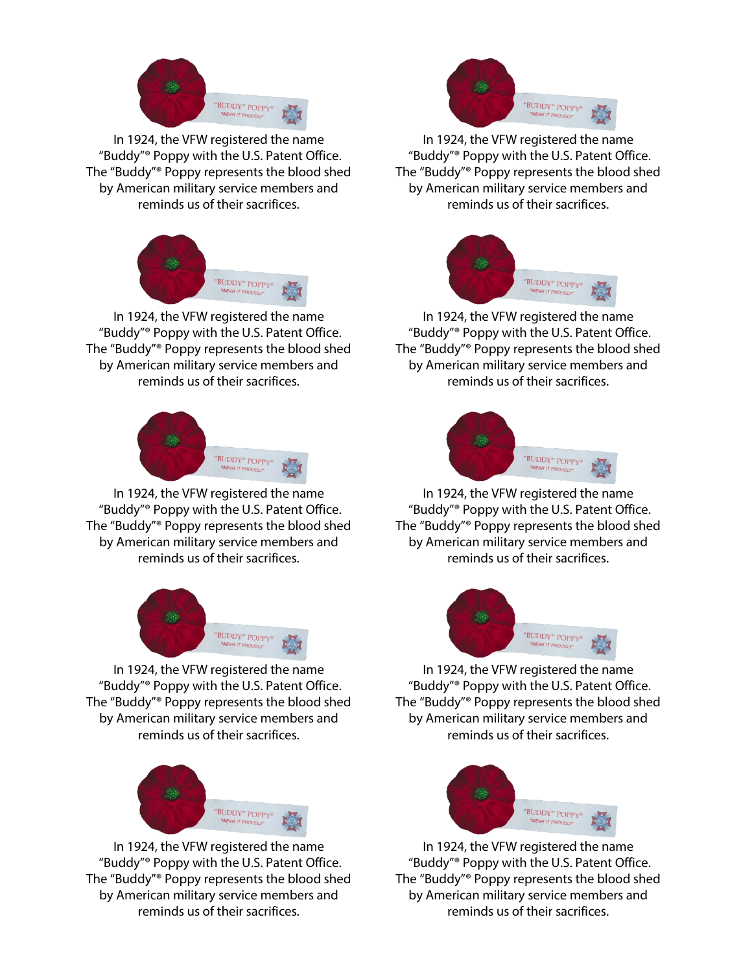

In 1924, the VFW registered the name "Buddy"® Poppy with the U.S. Patent Office. The "Buddy"® Poppy represents the blood shed by American military service members and reminds us of their sacrifices.



In 1924, the VFW registered the name "Buddy"® Poppy with the U.S. Patent Office. The "Buddy"® Poppy represents the blood shed by American military service members and reminds us of their sacrifices.



In 1924, the VFW registered the name "Buddy"® Poppy with the U.S. Patent Office. The "Buddy"® Poppy represents the blood shed by American military service members and reminds us of their sacrifices.



In 1924, the VFW registered the name "Buddy"® Poppy with the U.S. Patent Office. The "Buddy"® Poppy represents the blood shed by American military service members and reminds us of their sacrifices.



In 1924, the VFW registered the name "Buddy"® Poppy with the U.S. Patent Office. The "Buddy"® Poppy represents the blood shed by American military service members and reminds us of their sacrifices.



In 1924, the VFW registered the name "Buddy"® Poppy with the U.S. Patent Office. The "Buddy"® Poppy represents the blood shed by American military service members and reminds us of their sacrifices.



In 1924, the VFW registered the name "Buddy"® Poppy with the U.S. Patent Office. The "Buddy"® Poppy represents the blood shed by American military service members and reminds us of their sacrifices.



In 1924, the VFW registered the name "Buddy"® Poppy with the U.S. Patent Office. The "Buddy"® Poppy represents the blood shed by American military service members and reminds us of their sacrifices.



In 1924, the VFW registered the name "Buddy"® Poppy with the U.S. Patent Office. The "Buddy"® Poppy represents the blood shed by American military service members and reminds us of their sacrifices.



In 1924, the VFW registered the name "Buddy"® Poppy with the U.S. Patent Office. The "Buddy"® Poppy represents the blood shed by American military service members and reminds us of their sacrifices.